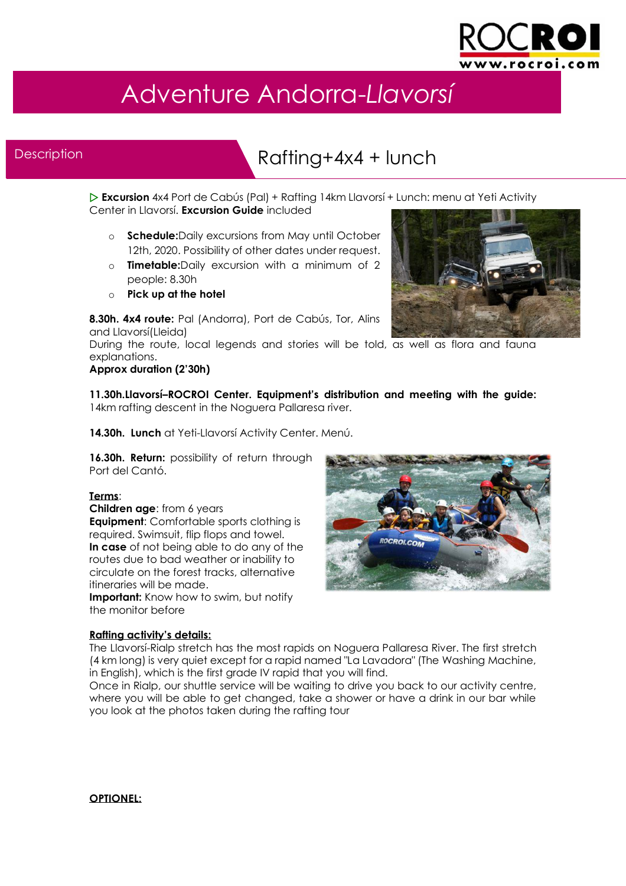

## Adventure Andorra-*Llavorsí*

#### **Description**

ł

### Rafting+4x4 + lunch

 **Excursion** 4x4 Port de Cabús (Pal) + Rafting 14km Llavorsí + Lunch: menu at Yeti Activity Center in Llavorsí. **Excursion Guide** included

- o **Schedule:**Daily excursions from May until October 12th, 2020. Possibility of other dates under request.
- o **Timetable:**Daily excursion with a minimum of 2 people: 8.30h
- o **Pick up at the hotel**

**8.30h. 4x4 route:** Pal (Andorra), Port de Cabús, Tor, Alins and Llavorsí(Lleida)

During the route, local legends and stories will be told, as well as flora and fauna explanations.

#### **Approx duration (2'30h)**

**11.30h.Llavorsí–ROCROI Center. Equipment's distribution and meeting with the guide:**  14km rafting descent in the Noguera Pallaresa river.

**14.30h. Lunch** at Yeti-Llavorsí Activity Center. Menú.

16.30h. Return: possibility of return through Port del Cantó.

#### **Terms**:

**Children age**: from 6 years

**Equipment**: Comfortable sports clothing is required. Swimsuit, flip flops and towel. **In case** of not being able to do any of the routes due to bad weather or inability to circulate on the forest tracks, alternative itineraries will be made.

**Important:** Know how to swim, but notify the monitor before



#### **Rafting activity's details:**

The Llavorsí-Rialp stretch has the most rapids on Noguera Pallaresa River. The first stretch (4 km long) is very quiet except for a rapid named "La Lavadora" (The Washing Machine, in English), which is the first grade IV rapid that you will find.

Once in Rialp, our shuttle service will be waiting to drive you back to our activity centre, where you will be able to get changed, take a shower or have a drink in our bar while you look at the photos taken during the rafting tour

#### **OPTIONEL:**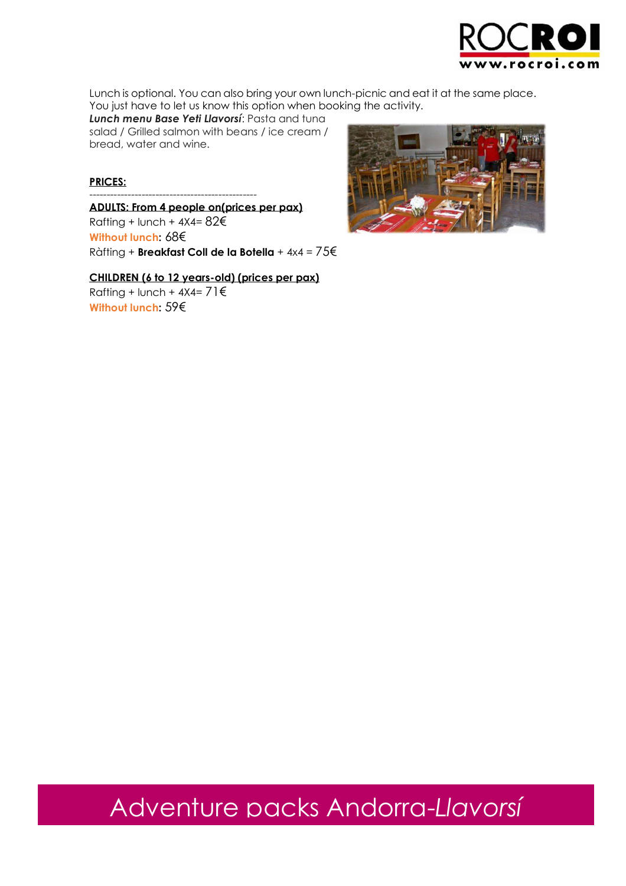

Lunch is optional. You can also bring your own lunch-picnic and eat it at the same place. You just have to let us know this option when booking the activity.

*Lunch menu Base Yeti Llavorsí*: Pasta and tuna salad / Grilled salmon with beans / ice cream / bread, water and wine.

#### **PRICES:**

------------------------------------------------ **ADULTS: From 4 people on(prices per pax)**  Rafting + lunch +  $4X4=82 \epsilon$ **Without lunch:** 68€ Ràfting + **Breakfast Coll de la Botella** + 4x4 = 75€

**CHILDREN (6 to 12 years-old) (prices per pax)**  Rafting + lunch +  $4X4=71 \text{E}$ **Without lunch:** 59€



# Adventure packs Andorra-*Llavorsí*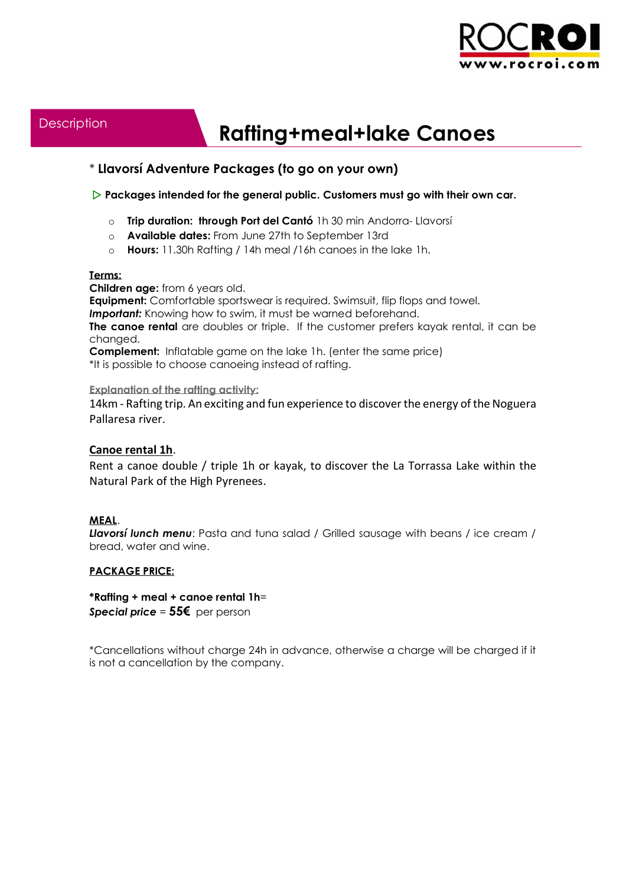

## **Rafting+meal+lake Canoes**

#### \* **Llavorsí Adventure Packages (to go on your own)**

#### **Packages intended for the general public. Customers must go with their own car.**

- o **Trip duration: through Port del Cantó** 1h 30 min Andorra- Llavorsí
- o **Available dates:** From June 27th to September 13rd
- o **Hours:** 11.30h Rafting / 14h meal /16h canoes in the lake 1h.

#### **Terms:**

**Children age:** from 6 years old.

**Equipment:** Comfortable sportswear is required. Swimsuit, flip flops and towel.

**Important:** Knowing how to swim, it must be warned beforehand.

**The canoe rental** are doubles or triple. If the customer prefers kayak rental, it can be changed.

**Complement:** Inflatable game on the lake 1h. (enter the same price)

\*It is possible to choose canoeing instead of rafting.

#### **Explanation of the rafting activity:**

14km - Rafting trip. An exciting and fun experience to discover the energy of the Noguera Pallaresa river.

#### **Canoe rental 1h**.

Rent a canoe double / triple 1h or kayak, to discover the La Torrassa Lake within the Natural Park of the High Pyrenees.

#### **MEAL**.

**Llavorsí lunch menu**: Pasta and tuna salad / Grilled sausage with beans / ice cream / bread, water and wine.

#### **PACKAGE PRICE:**

**\*Rafting + meal + canoe rental 1h**= *Special price* = **55€** per person

\*Cancellations without charge 24h in advance, otherwise a charge will be charged if it is not a cancellation by the company.